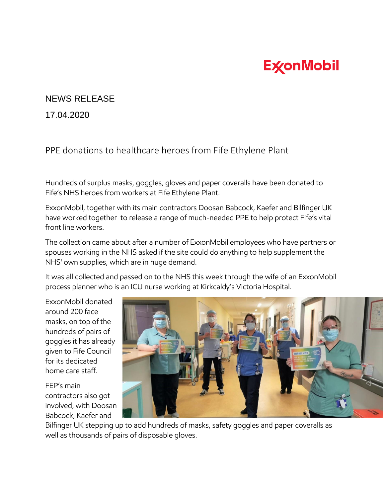## **ExconMobil**

## NEWS RELEASE

17.04.2020

PPE donations to healthcare heroes from Fife Ethylene Plant

Hundreds of surplus masks, goggles, gloves and paper coveralls have been donated to Fife's NHS heroes from workers at Fife Ethylene Plant.

ExxonMobil, together with its main contractors Doosan Babcock, Kaefer and Bilfinger UK have worked together to release a range of much-needed PPE to help protect Fife's vital front line workers.

The collection came about after a number of ExxonMobil employees who have partners or spouses working in the NHS asked if the site could do anything to help supplement the NHS' own supplies, which are in huge demand.

It was all collected and passed on to the NHS this week through the wife of an ExxonMobil process planner who is an ICU nurse working at Kirkcaldy's Victoria Hospital.

ExxonMobil donated around 200 face masks, on top of the hundreds of pairs of goggles it has already given to Fife Council for its dedicated home care staff.

FEP's main contractors also got involved, with Doosan Babcock, Kaefer and



Bilfinger UK stepping up to add hundreds of masks, safety goggles and paper coveralls as well as thousands of pairs of disposable gloves.